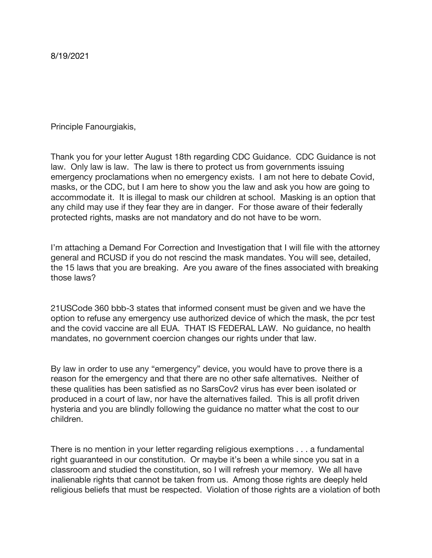Principle Fanourgiakis,

Thank you for your letter August 18th regarding CDC Guidance. CDC Guidance is not law. Only law is law. The law is there to protect us from governments issuing emergency proclamations when no emergency exists. I am not here to debate Covid, masks, or the CDC, but I am here to show you the law and ask you how are going to accommodate it. It is illegal to mask our children at school. Masking is an option that any child may use if they fear they are in danger. For those aware of their federally protected rights, masks are not mandatory and do not have to be worn.

I'm attaching a Demand For Correction and Investigation that I will file with the attorney general and RCUSD if you do not rescind the mask mandates. You will see, detailed, the 15 laws that you are breaking. Are you aware of the fines associated with breaking those laws?

21USCode 360 bbb-3 states that informed consent must be given and we have the option to refuse any emergency use authorized device of which the mask, the pcr test and the covid vaccine are all EUA. THAT IS FEDERAL LAW. No guidance, no health mandates, no government coercion changes our rights under that law.

By law in order to use any "emergency" device, you would have to prove there is a reason for the emergency and that there are no other safe alternatives. Neither of these qualities has been satisfied as no SarsCov2 virus has ever been isolated or produced in a court of law, nor have the alternatives failed. This is all profit driven hysteria and you are blindly following the guidance no matter what the cost to our children.

There is no mention in your letter regarding religious exemptions . . . a fundamental right guaranteed in our constitution. Or maybe it's been a while since you sat in a classroom and studied the constitution, so I will refresh your memory. We all have inalienable rights that cannot be taken from us. Among those rights are deeply held religious beliefs that must be respected. Violation of those rights are a violation of both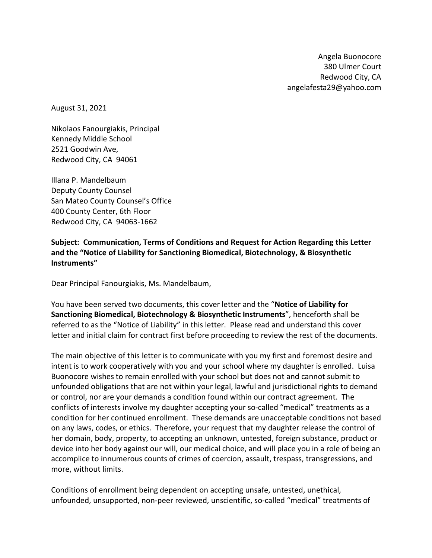Angela Buonocore 380 Ulmer Court Redwood City, CA angelafesta29@yahoo.com

August 31, 2021

Nikolaos Fanourgiakis, Principal Kennedy Middle School 2521 Goodwin Ave, Redwood City, CA 94061

Illana P. Mandelbaum Deputy County Counsel San Mateo County Counsel's Office 400 County Center, 6th Floor Redwood City, CA 94063-1662

**Subject: Communication, Terms of Conditions and Request for Action Regarding this Letter and the "Notice of Liability for Sanctioning Biomedical, Biotechnology, & Biosynthetic Instruments"**

Dear Principal Fanourgiakis, Ms. Mandelbaum,

You have been served two documents, this cover letter and the "**Notice of Liability for Sanctioning Biomedical, Biotechnology & Biosynthetic Instruments**", henceforth shall be referred to as the "Notice of Liability" in this letter. Please read and understand this cover letter and initial claim for contract first before proceeding to review the rest of the documents.

The main objective of this letter is to communicate with you my first and foremost desire and intent is to work cooperatively with you and your school where my daughter is enrolled. Luisa Buonocore wishes to remain enrolled with your school but does not and cannot submit to unfounded obligations that are not within your legal, lawful and jurisdictional rights to demand or control, nor are your demands a condition found within our contract agreement. The conflicts of interests involve my daughter accepting your so-called "medical" treatments as a condition for her continued enrollment. These demands are unacceptable conditions not based on any laws, codes, or ethics. Therefore, your request that my daughter release the control of her domain, body, property, to accepting an unknown, untested, foreign substance, product or device into her body against our will, our medical choice, and will place you in a role of being an accomplice to innumerous counts of crimes of coercion, assault, trespass, transgressions, and more, without limits.

Conditions of enrollment being dependent on accepting unsafe, untested, unethical, unfounded, unsupported, non-peer reviewed, unscientific, so-called "medical" treatments of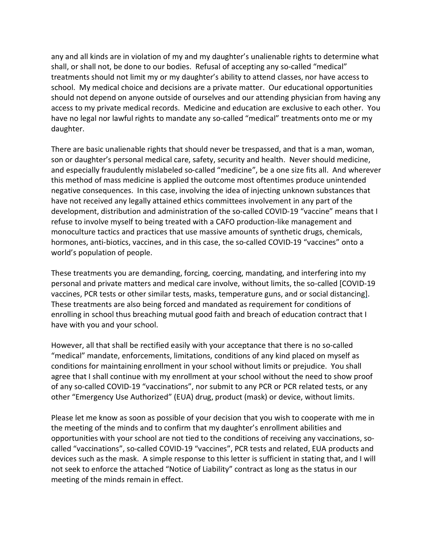any and all kinds are in violation of my and my daughter's unalienable rights to determine what shall, or shall not, be done to our bodies. Refusal of accepting any so-called "medical" treatments should not limit my or my daughter's ability to attend classes, nor have access to school. My medical choice and decisions are a private matter. Our educational opportunities should not depend on anyone outside of ourselves and our attending physician from having any access to my private medical records. Medicine and education are exclusive to each other. You have no legal nor lawful rights to mandate any so-called "medical" treatments onto me or my daughter.

There are basic unalienable rights that should never be trespassed, and that is a man, woman, son or daughter's personal medical care, safety, security and health. Never should medicine, and especially fraudulently mislabeled so-called "medicine", be a one size fits all. And wherever this method of mass medicine is applied the outcome most oftentimes produce unintended negative consequences. In this case, involving the idea of injecting unknown substances that have not received any legally attained ethics committees involvement in any part of the development, distribution and administration of the so-called COVID-19 "vaccine" means that I refuse to involve myself to being treated with a CAFO production-like management and monoculture tactics and practices that use massive amounts of synthetic drugs, chemicals, hormones, anti-biotics, vaccines, and in this case, the so-called COVID-19 "vaccines" onto a world's population of people.

These treatments you are demanding, forcing, coercing, mandating, and interfering into my personal and private matters and medical care involve, without limits, the so-called [COVID-19 vaccines, PCR tests or other similar tests, masks, temperature guns, and or social distancing]. These treatments are also being forced and mandated as requirement for conditions of enrolling in school thus breaching mutual good faith and breach of education contract that I have with you and your school.

However, all that shall be rectified easily with your acceptance that there is no so-called "medical" mandate, enforcements, limitations, conditions of any kind placed on myself as conditions for maintaining enrollment in your school without limits or prejudice. You shall agree that I shall continue with my enrollment at your school without the need to show proof of any so-called COVID-19 "vaccinations", nor submit to any PCR or PCR related tests, or any other "Emergency Use Authorized" (EUA) drug, product (mask) or device, without limits.

Please let me know as soon as possible of your decision that you wish to cooperate with me in the meeting of the minds and to confirm that my daughter's enrollment abilities and opportunities with your school are not tied to the conditions of receiving any vaccinations, socalled "vaccinations", so-called COVID-19 "vaccines", PCR tests and related, EUA products and devices such as the mask. A simple response to this letter is sufficient in stating that, and I will not seek to enforce the attached "Notice of Liability" contract as long as the status in our meeting of the minds remain in effect.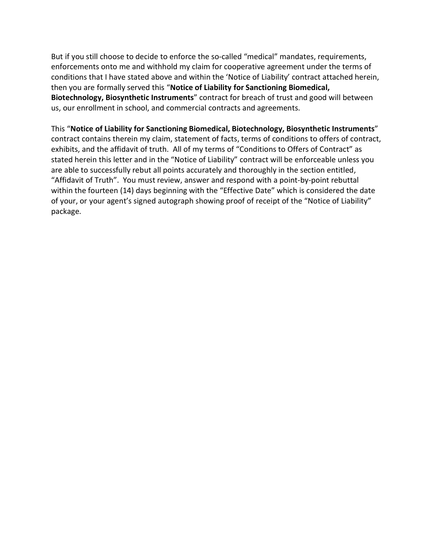But if you still choose to decide to enforce the so-called "medical" mandates, requirements, enforcements onto me and withhold my claim for cooperative agreement under the terms of conditions that I have stated above and within the 'Notice of Liability' contract attached herein, then you are formally served this "**Notice of Liability for Sanctioning Biomedical, Biotechnology, Biosynthetic Instruments**" contract for breach of trust and good will between us, our enrollment in school, and commercial contracts and agreements.

This "**Notice of Liability for Sanctioning Biomedical, Biotechnology, Biosynthetic Instruments**" contract contains therein my claim, statement of facts, terms of conditions to offers of contract, exhibits, and the affidavit of truth. All of my terms of "Conditions to Offers of Contract" as stated herein this letter and in the "Notice of Liability" contract will be enforceable unless you are able to successfully rebut all points accurately and thoroughly in the section entitled, "Affidavit of Truth". You must review, answer and respond with a point-by-point rebuttal within the fourteen (14) days beginning with the "Effective Date" which is considered the date of your, or your agent's signed autograph showing proof of receipt of the "Notice of Liability" package.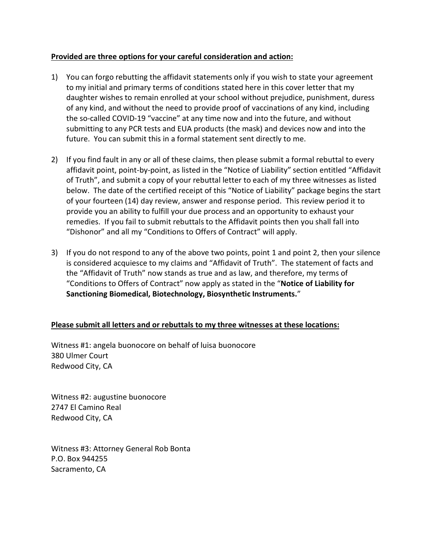#### **Provided are three options for your careful consideration and action:**

- 1) You can forgo rebutting the affidavit statements only if you wish to state your agreement to my initial and primary terms of conditions stated here in this cover letter that my daughter wishes to remain enrolled at your school without prejudice, punishment, duress of any kind, and without the need to provide proof of vaccinations of any kind, including the so-called COVID-19 "vaccine" at any time now and into the future, and without submitting to any PCR tests and EUA products (the mask) and devices now and into the future. You can submit this in a formal statement sent directly to me.
- 2) If you find fault in any or all of these claims, then please submit a formal rebuttal to every affidavit point, point-by-point, as listed in the "Notice of Liability" section entitled "Affidavit of Truth", and submit a copy of your rebuttal letter to each of my three witnesses as listed below. The date of the certified receipt of this "Notice of Liability" package begins the start of your fourteen (14) day review, answer and response period. This review period it to provide you an ability to fulfill your due process and an opportunity to exhaust your remedies. If you fail to submit rebuttals to the Affidavit points then you shall fall into "Dishonor" and all my "Conditions to Offers of Contract" will apply.
- 3) If you do not respond to any of the above two points, point 1 and point 2, then your silence is considered acquiesce to my claims and "Affidavit of Truth". The statement of facts and the "Affidavit of Truth" now stands as true and as law, and therefore, my terms of "Conditions to Offers of Contract" now apply as stated in the "**Notice of Liability for Sanctioning Biomedical, Biotechnology, Biosynthetic Instruments.**"

#### **Please submit all letters and or rebuttals to my three witnesses at these locations:**

Witness #1: angela buonocore on behalf of luisa buonocore 380 Ulmer Court Redwood City, CA

Witness #2: augustine buonocore 2747 El Camino Real Redwood City, CA

Witness #3: Attorney General Rob Bonta P.O. Box 944255 Sacramento, CA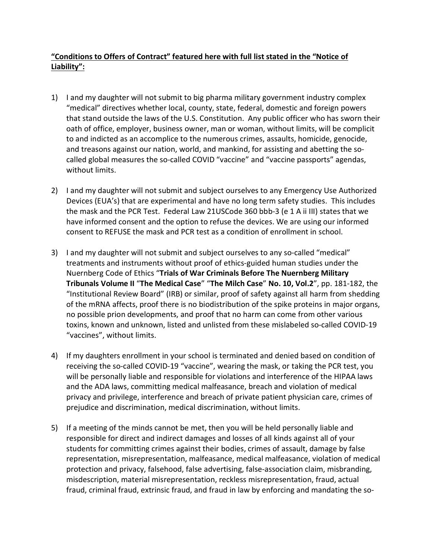## **"Conditions to Offers of Contract" featured here with full list stated in the "Notice of Liability":**

- 1) I and my daughter will not submit to big pharma military government industry complex "medical" directives whether local, county, state, federal, domestic and foreign powers that stand outside the laws of the U.S. Constitution. Any public officer who has sworn their oath of office, employer, business owner, man or woman, without limits, will be complicit to and indicted as an accomplice to the numerous crimes, assaults, homicide, genocide, and treasons against our nation, world, and mankind, for assisting and abetting the socalled global measures the so-called COVID "vaccine" and "vaccine passports" agendas, without limits.
- 2) I and my daughter will not submit and subject ourselves to any Emergency Use Authorized Devices (EUA's) that are experimental and have no long term safety studies. This includes the mask and the PCR Test. Federal Law 21USCode 360 bbb-3 (e 1 A ii III) states that we have informed consent and the option to refuse the devices. We are using our informed consent to REFUSE the mask and PCR test as a condition of enrollment in school.
- 3) I and my daughter will not submit and subject ourselves to any so-called "medical" treatments and instruments without proof of ethics-guided human studies under the Nuernberg Code of Ethics "**Trials of War Criminals Before The Nuernberg Military Tribunals Volume II** "**The Medical Case**" "**The Milch Case**" **No. 10, Vol.2**", pp. 181-182, the "Institutional Review Board" (IRB) or similar, proof of safety against all harm from shedding of the mRNA affects, proof there is no biodistribution of the spike proteins in major organs, no possible prion developments, and proof that no harm can come from other various toxins, known and unknown, listed and unlisted from these mislabeled so-called COVID-19 "vaccines", without limits.
- 4) If my daughters enrollment in your school is terminated and denied based on condition of receiving the so-called COVID-19 "vaccine", wearing the mask, or taking the PCR test, you will be personally liable and responsible for violations and interference of the HIPAA laws and the ADA laws, committing medical malfeasance, breach and violation of medical privacy and privilege, interference and breach of private patient physician care, crimes of prejudice and discrimination, medical discrimination, without limits.
- 5) If a meeting of the minds cannot be met, then you will be held personally liable and responsible for direct and indirect damages and losses of all kinds against all of your students for committing crimes against their bodies, crimes of assault, damage by false representation, misrepresentation, malfeasance, medical malfeasance, violation of medical protection and privacy, falsehood, false advertising, false-association claim, misbranding, misdescription, material misrepresentation, reckless misrepresentation, fraud, actual fraud, criminal fraud, extrinsic fraud, and fraud in law by enforcing and mandating the so-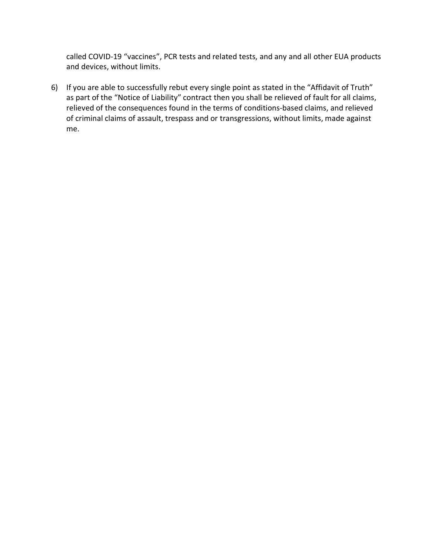called COVID-19 "vaccines", PCR tests and related tests, and any and all other EUA products and devices, without limits.

6) If you are able to successfully rebut every single point as stated in the "Affidavit of Truth" as part of the "Notice of Liability" contract then you shall be relieved of fault for all claims, relieved of the consequences found in the terms of conditions-based claims, and relieved of criminal claims of assault, trespass and or transgressions, without limits, made against me.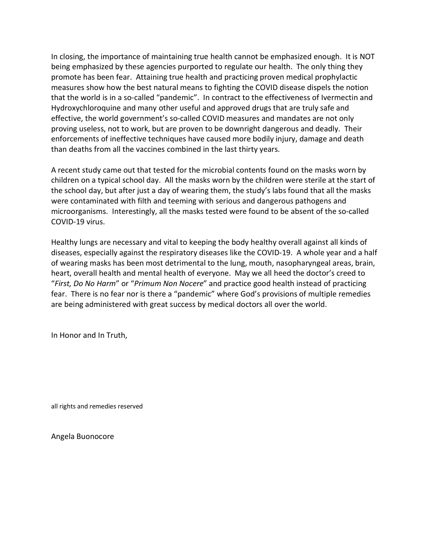In closing, the importance of maintaining true health cannot be emphasized enough. It is NOT being emphasized by these agencies purported to regulate our health. The only thing they promote has been fear. Attaining true health and practicing proven medical prophylactic measures show how the best natural means to fighting the COVID disease dispels the notion that the world is in a so-called "pandemic". In contract to the effectiveness of Ivermectin and Hydroxychloroquine and many other useful and approved drugs that are truly safe and effective, the world government's so-called COVID measures and mandates are not only proving useless, not to work, but are proven to be downright dangerous and deadly. Their enforcements of ineffective techniques have caused more bodily injury, damage and death than deaths from all the vaccines combined in the last thirty years.

A recent study came out that tested for the microbial contents found on the masks worn by children on a typical school day. All the masks worn by the children were sterile at the start of the school day, but after just a day of wearing them, the study's labs found that all the masks were contaminated with filth and teeming with serious and dangerous pathogens and microorganisms. Interestingly, all the masks tested were found to be absent of the so-called COVID-19 virus.

Healthy lungs are necessary and vital to keeping the body healthy overall against all kinds of diseases, especially against the respiratory diseases like the COVID-19. A whole year and a half of wearing masks has been most detrimental to the lung, mouth, nasopharyngeal areas, brain, heart, overall health and mental health of everyone. May we all heed the doctor's creed to "*First, Do No Harm*" or "*Primum Non Nocere*" and practice good health instead of practicing fear. There is no fear nor is there a "pandemic" where God's provisions of multiple remedies are being administered with great success by medical doctors all over the world.

In Honor and In Truth,

all rights and remedies reserved

Angela Buonocore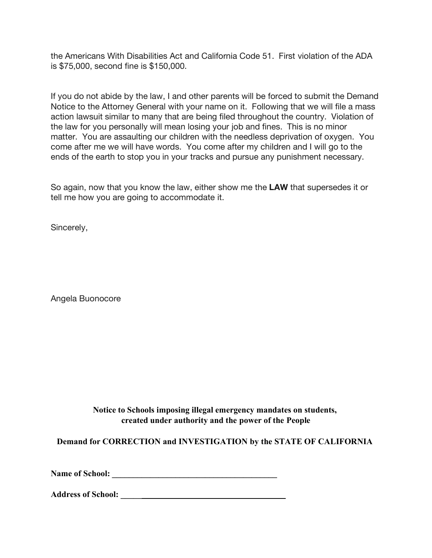the Americans With Disabilities Act and California Code 51. First violation of the ADA is \$75,000, second fine is \$150,000.

If you do not abide by the law, I and other parents will be forced to submit the Demand Notice to the Attorney General with your name on it. Following that we will file a mass action lawsuit similar to many that are being filed throughout the country. Violation of the law for you personally will mean losing your job and fines. This is no minor matter. You are assaulting our children with the needless deprivation of oxygen. You come after me we will have words. You come after my children and I will go to the ends of the earth to stop you in your tracks and pursue any punishment necessary.

So again, now that you know the law, either show me the **LAW** that supersedes it or tell me how you are going to accommodate it.

Sincerely,

Angela Buonocore

**Notice to Schools imposing illegal emergency mandates on students, created under authority and the power of the People**

**Demand for CORRECTION and INVESTIGATION by the STATE OF CALIFORNIA**

**Name of School: \_\_\_\_\_\_\_\_\_\_\_\_\_\_\_\_\_\_\_\_\_\_\_\_\_\_\_\_\_\_\_\_\_\_\_\_\_\_\_**

**Address of School: \_\_\_\_\_\_\_\_\_\_\_\_\_\_\_\_\_\_\_\_\_\_\_\_\_\_\_\_\_\_\_\_\_\_\_\_\_\_\_**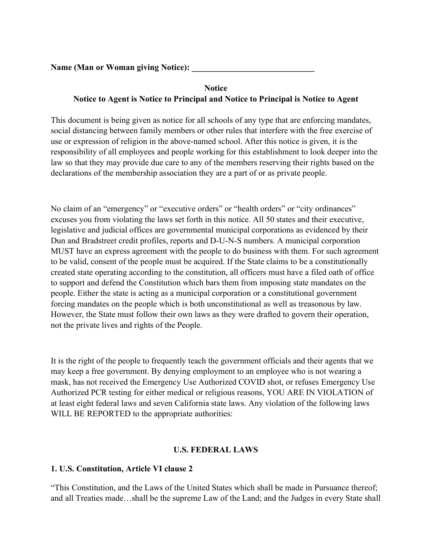**Name (Man or Woman giving Notice): \_\_\_\_\_\_\_\_\_\_\_\_\_\_\_\_\_\_\_\_\_\_\_\_\_\_\_\_\_**

# **Notice Notice to Agent is Notice to Principal and Notice to Principal is Notice to Agent**

This document is being given as notice for all schools of any type that are enforcing mandates, social distancing between family members or other rules that interfere with the free exercise of use or expression of religion in the above-named school. After this notice is given, it is the responsibility of all employees and people working for this establishment to look deeper into the law so that they may provide due care to any of the members reserving their rights based on the declarations of the membership association they are a part of or as private people.

No claim of an "emergency" or "executive orders" or "health orders" or "city ordinances" excuses you from violating the laws set forth in this notice. All 50 states and their executive, legislative and judicial offices are governmental municipal corporations as evidenced by their Dun and Bradstreet credit profiles, reports and D-U-N-S numbers. A municipal corporation MUST have an express agreement with the people to do business with them. For such agreement to be valid, consent of the people must be acquired. If the State claims to be a constitutionally created state operating according to the constitution, all officers must have a filed oath of office to support and defend the Constitution which bars them from imposing state mandates on the people. Either the state is acting as a municipal corporation or a constitutional government forcing mandates on the people which is both unconstitutional as well as treasonous by law. However, the State must follow their own laws as they were drafted to govern their operation, not the private lives and rights of the People.

It is the right of the people to frequently teach the government officials and their agents that we may keep a free government. By denying employment to an employee who is not wearing a mask, has not received the Emergency Use Authorized COVID shot, or refuses Emergency Use Authorized PCR testing for either medical or religious reasons, YOU ARE IN VIOLATION of at least eight federal laws and seven California state laws. Any violation of the following laws WILL BE REPORTED to the appropriate authorities:

#### **U.S. FEDERAL LAWS**

#### **1. U.S. Constitution, Article VI clause 2**

"This Constitution, and the Laws of the United States which shall be made in Pursuance thereof; and all Treaties made…shall be the supreme Law of the Land; and the Judges in every State shall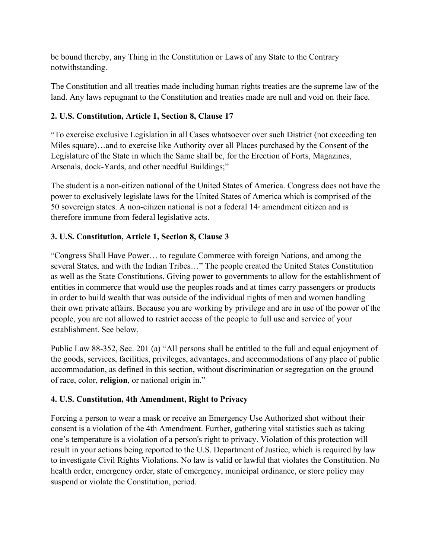be bound thereby, any Thing in the Constitution or Laws of any State to the Contrary notwithstanding.

The Constitution and all treaties made including human rights treaties are the supreme law of the land. Any laws repugnant to the Constitution and treaties made are null and void on their face.

## **2. U.S. Constitution, Article 1, Section 8, Clause 17**

"To exercise exclusive Legislation in all Cases whatsoever over such District (not exceeding ten Miles square)…and to exercise like Authority over all Places purchased by the Consent of the Legislature of the State in which the Same shall be, for the Erection of Forts, Magazines, Arsenals, dock-Yards, and other needful Buildings;"

The student is a non-citizen national of the United States of America. Congress does not have the power to exclusively legislate laws for the United States of America which is comprised of the 50 sovereign states. A non-citizen national is not a federal  $14<sup>*</sup>$  amendment citizen and is therefore immune from federal legislative acts.

#### **3. U.S. Constitution, Article 1, Section 8, Clause 3**

"Congress Shall Have Power… to regulate Commerce with foreign Nations, and among the several States, and with the Indian Tribes…" The people created the United States Constitution as well as the State Constitutions. Giving power to governments to allow for the establishment of entities in commerce that would use the peoples roads and at times carry passengers or products in order to build wealth that was outside of the individual rights of men and women handling their own private affairs. Because you are working by privilege and are in use of the power of the people, you are not allowed to restrict access of the people to full use and service of your establishment. See below.

Public Law 88-352, Sec. 201 (a) "All persons shall be entitled to the full and equal enjoyment of the goods, services, facilities, privileges, advantages, and accommodations of any place of public accommodation, as defined in this section, without discrimination or segregation on the ground of race, color, **religion**, or national origin in."

#### **4. U.S. Constitution, 4th Amendment, Right to Privacy**

Forcing a person to wear a mask or receive an Emergency Use Authorized shot without their consent is a violation of the 4th Amendment. Further, gathering vital statistics such as taking one's temperature is a violation of a person's right to privacy. Violation of this protection will result in your actions being reported to the U.S. Department of Justice, which is required by law to investigate Civil Rights Violations. No law is valid or lawful that violates the Constitution. No health order, emergency order, state of emergency, municipal ordinance, or store policy may suspend or violate the Constitution, period.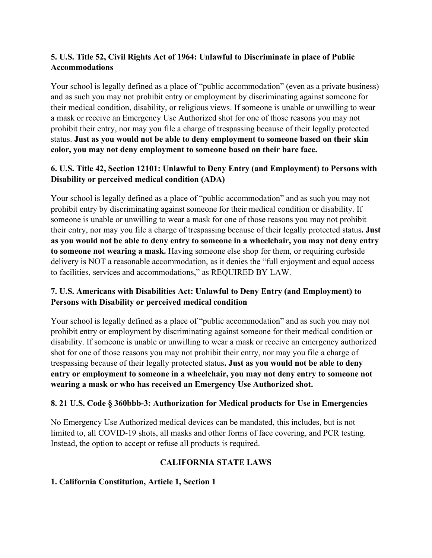## **5. U.S. Title 52, Civil Rights Act of 1964: Unlawful to Discriminate in place of Public Accommodations**

Your school is legally defined as a place of "public accommodation" (even as a private business) and as such you may not prohibit entry or employment by discriminating against someone for their medical condition, disability, or religious views. If someone is unable or unwilling to wear a mask or receive an Emergency Use Authorized shot for one of those reasons you may not prohibit their entry, nor may you file a charge of trespassing because of their legally protected status. **Just as you would not be able to deny employment to someone based on their skin color, you may not deny employment to someone based on their bare face.**

## **6. U.S. Title 42, Section 12101: Unlawful to Deny Entry (and Employment) to Persons with Disability or perceived medical condition (ADA)**

Your school is legally defined as a place of "public accommodation" and as such you may not prohibit entry by discriminating against someone for their medical condition or disability. If someone is unable or unwilling to wear a mask for one of those reasons you may not prohibit their entry, nor may you file a charge of trespassing because of their legally protected status**. Just as you would not be able to deny entry to someone in a wheelchair, you may not deny entry to someone not wearing a mask.** Having someone else shop for them, or requiring curbside delivery is NOT a reasonable accommodation, as it denies the "full enjoyment and equal access to facilities, services and accommodations," as REQUIRED BY LAW.

## **7. U.S. Americans with Disabilities Act: Unlawful to Deny Entry (and Employment) to Persons with Disability or perceived medical condition**

Your school is legally defined as a place of "public accommodation" and as such you may not prohibit entry or employment by discriminating against someone for their medical condition or disability. If someone is unable or unwilling to wear a mask or receive an emergency authorized shot for one of those reasons you may not prohibit their entry, nor may you file a charge of trespassing because of their legally protected status**. Just as you would not be able to deny entry or employment to someone in a wheelchair, you may not deny entry to someone not wearing a mask or who has received an Emergency Use Authorized shot.**

## **8. 21 U.S. Code § 360bbb-3: Authorization for Medical products for Use in Emergencies**

No Emergency Use Authorized medical devices can be mandated, this includes, but is not limited to, all COVID-19 shots, all masks and other forms of face covering, and PCR testing. Instead, the option to accept or refuse all products is required.

## **CALIFORNIA STATE LAWS**

## **1. California Constitution, Article 1, Section 1**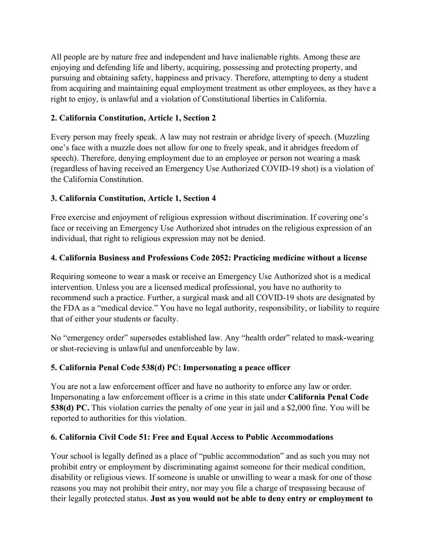All people are by nature free and independent and have inalienable rights. Among these are enjoying and defending life and liberty, acquiring, possessing and protecting property, and pursuing and obtaining safety, happiness and privacy. Therefore, attempting to deny a student from acquiring and maintaining equal employment treatment as other employees, as they have a right to enjoy, is unlawful and a violation of Constitutional liberties in California.

#### **2. California Constitution, Article 1, Section 2**

Every person may freely speak. A law may not restrain or abridge livery of speech. (Muzzling one's face with a muzzle does not allow for one to freely speak, and it abridges freedom of speech). Therefore, denying employment due to an employee or person not wearing a mask (regardless of having received an Emergency Use Authorized COVID-19 shot) is a violation of the California Constitution.

#### **3. California Constitution, Article 1, Section 4**

Free exercise and enjoyment of religious expression without discrimination. If covering one's face or receiving an Emergency Use Authorized shot intrudes on the religious expression of an individual, that right to religious expression may not be denied.

#### **4. California Business and Professions Code 2052: Practicing medicine without a license**

Requiring someone to wear a mask or receive an Emergency Use Authorized shot is a medical intervention. Unless you are a licensed medical professional, you have no authority to recommend such a practice. Further, a surgical mask and all COVID-19 shots are designated by the FDA as a "medical device." You have no legal authority, responsibility, or liability to require that of either your students or faculty.

No "emergency order" supersedes established law. Any "health order" related to mask-wearing or shot-recieving is unlawful and unenforceable by law.

## **5. California Penal Code 538(d) PC: Impersonating a peace officer**

You are not a law enforcement officer and have no authority to enforce any law or order. Impersonating a law enforcement officer is a crime in this state under **California Penal Code 538(d) PC.** This violation carries the penalty of one year in jail and a \$2,000 fine. You will be reported to authorities for this violation.

#### **6. California Civil Code 51: Free and Equal Access to Public Accommodations**

Your school is legally defined as a place of "public accommodation" and as such you may not prohibit entry or employment by discriminating against someone for their medical condition, disability or religious views. If someone is unable or unwilling to wear a mask for one of those reasons you may not prohibit their entry, nor may you file a charge of trespassing because of their legally protected status. **Just as you would not be able to deny entry or employment to**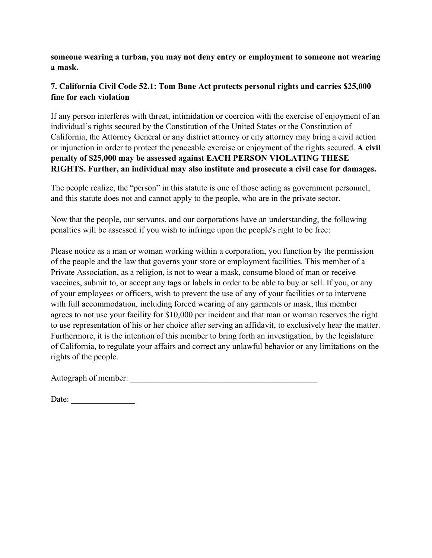**someone wearing a turban, you may not deny entry or employment to someone not wearing a mask.**

## **7. California Civil Code 52.1: Tom Bane Act protects personal rights and carries \$25,000 fine for each violation**

If any person interferes with threat, intimidation or coercion with the exercise of enjoyment of an individual's rights secured by the Constitution of the United States or the Constitution of California, the Attorney General or any district attorney or city attorney may bring a civil action or injunction in order to protect the peaceable exercise or enjoyment of the rights secured. **A civil penalty of \$25,000 may be assessed against EACH PERSON VIOLATING THESE RIGHTS. Further, an individual may also institute and prosecute a civil case for damages.**

The people realize, the "person" in this statute is one of those acting as government personnel, and this statute does not and cannot apply to the people, who are in the private sector.

Now that the people, our servants, and our corporations have an understanding, the following penalties will be assessed if you wish to infringe upon the people's right to be free:

Please notice as a man or woman working within a corporation, you function by the permission of the people and the law that governs your store or employment facilities. This member of a Private Association, as a religion, is not to wear a mask, consume blood of man or receive vaccines, submit to, or accept any tags or labels in order to be able to buy or sell. If you, or any of your employees or officers, wish to prevent the use of any of your facilities or to intervene with full accommodation, including forced wearing of any garments or mask, this member agrees to not use your facility for \$10,000 per incident and that man or woman reserves the right to use representation of his or her choice after serving an affidavit, to exclusively hear the matter. Furthermore, it is the intention of this member to bring forth an investigation, by the legislature of California, to regulate your affairs and correct any unlawful behavior or any limitations on the rights of the people.

Autograph of member:

| Date: |  |  |  |  |  |  |  |
|-------|--|--|--|--|--|--|--|
|       |  |  |  |  |  |  |  |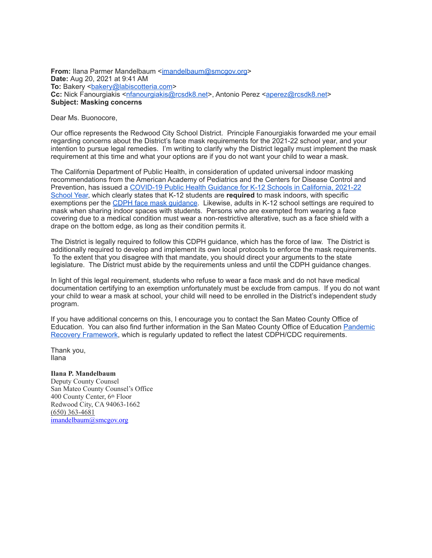**From: Ilana Parmer Mandelbaum <[imandelbaum@smcgov.org>](mailto:imandelbaum@smcgov.org) Date:** Aug 20, 2021 at 9:41 AM To: Bakery <br/>bakery@labiscotteria.com> **Cc:** Nick Fanourgiakis <[nfanourgiakis@rcsdk8.net>](mailto:nfanourgiakis@rcsdk8.net), Antonio Perez [<aperez@rcsdk8.net>](mailto:aperez@rcsdk8.net) **Subject: Masking concerns**

Dear Ms. Buonocore,

Our office represents the Redwood City School District. Principle Fanourgiakis forwarded me your email regarding concerns about the District's face mask requirements for the 2021-22 school year, and your intention to pursue legal remedies. I'm writing to clarify why the District legally must implement the mask requirement at this time and what your options are if you do not want your child to wear a mask.

The California Department of Public Health, in consideration of updated universal indoor masking recommendations from the American Academy of Pediatrics and the Centers for Disease Control and Prevention, has issued a [COVID-19 Public Health Guidance for K-12 Schools in California, 2021-22](https://www.cdph.ca.gov/Programs/CID/DCDC/Pages/COVID-19/K-12-Guidance-2021-22-School-Year.aspx)  [School Year,](https://www.cdph.ca.gov/Programs/CID/DCDC/Pages/COVID-19/K-12-Guidance-2021-22-School-Year.aspx) which clearly states that K-12 students are **required** to mask indoors, with specific exemptions per the [CDPH face mask guidance.](https://www.cdph.ca.gov/Programs/CID/DCDC/Pages/COVID-19/guidance-for-face-coverings.aspx) Likewise, adults in K-12 school settings are required to mask when sharing indoor spaces with students. Persons who are exempted from wearing a face covering due to a medical condition must wear a non-restrictive alterative, such as a face shield with a drape on the bottom edge, as long as their condition permits it.

The District is legally required to follow this CDPH guidance, which has the force of law. The District is additionally required to develop and implement its own local protocols to enforce the mask requirements. To the extent that you disagree with that mandate, you should direct your arguments to the state legislature. The District must abide by the requirements unless and until the CDPH guidance changes.

In light of this legal requirement, students who refuse to wear a face mask and do not have medical documentation certifying to an exemption unfortunately must be exclude from campus. If you do not want your child to wear a mask at school, your child will need to be enrolled in the District's independent study program.

If you have additional concerns on this, I encourage you to contact the San Mateo County Office of Education. You can also find further information in the San Mateo County Office of Education [Pandemic](https://www.smcoe.org/assets/files/For%20Communities_FIL/COVID-19%20Resources_FIL/Pandemic_Recovery_Framework.pdf)  [Recovery Framework](https://www.smcoe.org/assets/files/For%20Communities_FIL/COVID-19%20Resources_FIL/Pandemic_Recovery_Framework.pdf), which is regularly updated to reflect the latest CDPH/CDC requirements.

Thank you, Ilana

#### **Ilana P. Mandelbaum**

Deputy County Counsel San Mateo County Counsel's Office 400 County Center, 6th Floor Redwood City, CA 94063-1662 (650) 363-4681 [imandelbaum@smcgov.org](mailto:imandelbaum@smcgov.org)